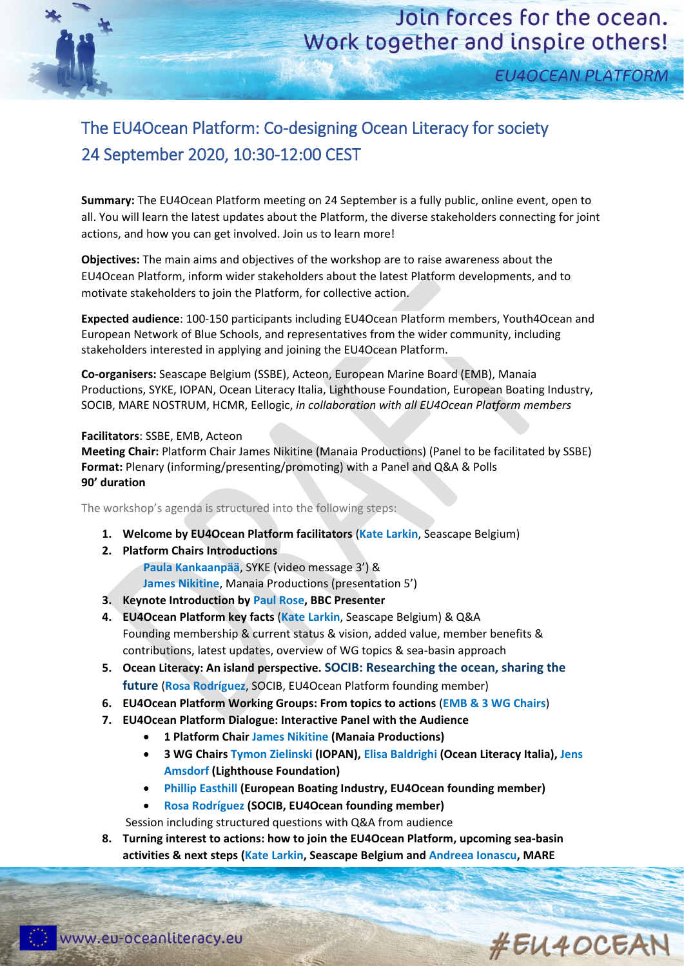**EU4OCEAN PLATFORM** 

## The EU4Ocean Platform: Co-designing Ocean Literacy for society 24 September 2020, 10:30-12:00 CEST

**Summary:** The EU4Ocean Platform meeting on 24 September is a fully public, online event, open to all. You will learn the latest updates about the Platform, the diverse stakeholders connecting for joint actions, and how you can get involved. Join us to learn more!

**Objectives:** The main aims and objectives of the workshop are to raise awareness about the EU4Ocean Platform, inform wider stakeholders about the latest Platform developments, and to motivate stakeholders to join the Platform, for collective action.

**Expected audience**: 100-150 participants including EU4Ocean Platform members, Youth4Ocean and European Network of Blue Schools, and representatives from the wider community, including stakeholders interested in applying and joining the EU4Ocean Platform.

**Co-organisers:** Seascape Belgium (SSBE), Acteon, European Marine Board (EMB), Manaia Productions, SYKE, IOPAN, Ocean Literacy Italia, Lighthouse Foundation, European Boating Industry, SOCIB, MARE NOSTRUM, HCMR, Eellogic, *in collaboration with all EU4Ocean Platform members* 

## **Facilitators**: SSBE, EMB, Acteon

**Meeting Chair:** Platform Chair James Nikitine (Manaia Productions) (Panel to be facilitated by SSBE) **Format:** Plenary (informing/presenting/promoting) with a Panel and Q&A & Polls **90' duration**

The workshop's agenda is structured into the following steps:

- **1. Welcome by EU4Ocean Platform facilitators** (**Kate Larkin**, Seascape Belgium)
- **2. Platform Chairs Introductions**

**Paula Kankaanpää**, SYKE (video message 3') & **James Nikitine**, Manaia Productions (presentation 5')

- **3. Keynote Introduction by Paul Rose, BBC Presenter**
- **4. EU4Ocean Platform key facts** (**Kate Larkin**, Seascape Belgium) & Q&A Founding membership & current status & vision, added value, member benefits & contributions, latest updates, overview of WG topics & sea-basin approach
- **5. Ocean Literacy: An island perspective. SOCIB: Researching the ocean, sharing the future** (**Rosa Rodríguez**, SOCIB, EU4Ocean Platform founding member)
- **6. EU4Ocean Platform Working Groups: From topics to actions** (**EMB & 3 WG Chairs**)
- **7. EU4Ocean Platform Dialogue: Interactive Panel with the Audience** 
	- **1 Platform Chair James Nikitine (Manaia Productions)**
	- **3 WG Chairs Tymon Zielinski (IOPAN), Elisa Baldrighi (Ocean Literacy Italia), Jens Amsdorf (Lighthouse Foundation)**
	- **Phillip Easthill (European Boating Industry, EU4Ocean founding member)**
	- **Rosa Rodríguez (SOCIB, EU4Ocean founding member)**

Session including structured questions with Q&A from audience

**8. Turning interest to actions: how to join the EU4Ocean Platform, upcoming sea-basin activities & next steps (Kate Larkin, Seascape Belgium and Andreea Ionascu, MARE**